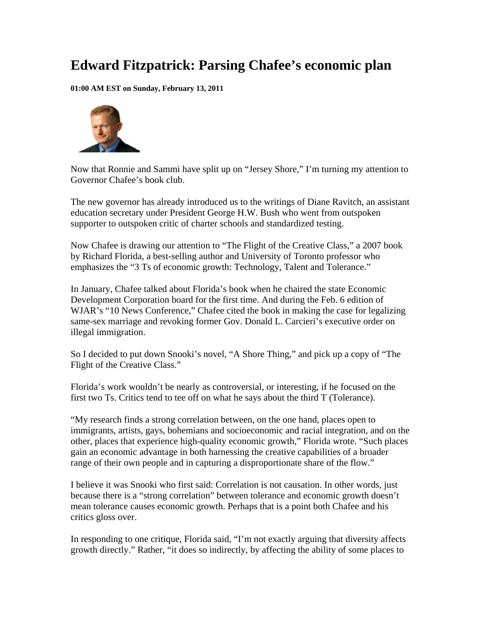## **Edward Fitzpatrick: Parsing Chafee's economic plan**

**01:00 AM EST on Sunday, February 13, 2011** 



Now that Ronnie and Sammi have split up on "Jersey Shore," I'm turning my attention to Governor Chafee's book club.

The new governor has already introduced us to the writings of Diane Ravitch, an assistant education secretary under President George H.W. Bush who went from outspoken supporter to outspoken critic of charter schools and standardized testing.

Now Chafee is drawing our attention to "The Flight of the Creative Class," a 2007 book by Richard Florida, a best-selling author and University of Toronto professor who emphasizes the "3 Ts of economic growth: Technology, Talent and Tolerance."

In January, Chafee talked about Florida's book when he chaired the state Economic Development Corporation board for the first time. And during the Feb. 6 edition of WJAR's "10 News Conference," Chafee cited the book in making the case for legalizing same-sex marriage and revoking former Gov. Donald L. Carcieri's executive order on illegal immigration.

So I decided to put down Snooki's novel, "A Shore Thing," and pick up a copy of "The Flight of the Creative Class."

Florida's work wouldn't be nearly as controversial, or interesting, if he focused on the first two Ts. Critics tend to tee off on what he says about the third T (Tolerance).

"My research finds a strong correlation between, on the one hand, places open to immigrants, artists, gays, bohemians and socioeconomic and racial integration, and on the other, places that experience high-quality economic growth," Florida wrote. "Such places gain an economic advantage in both harnessing the creative capabilities of a broader range of their own people and in capturing a disproportionate share of the flow."

I believe it was Snooki who first said: Correlation is not causation. In other words, just because there is a "strong correlation" between tolerance and economic growth doesn't mean tolerance causes economic growth. Perhaps that is a point both Chafee and his critics gloss over.

In responding to one critique, Florida said, "I'm not exactly arguing that diversity affects growth directly." Rather, "it does so indirectly, by affecting the ability of some places to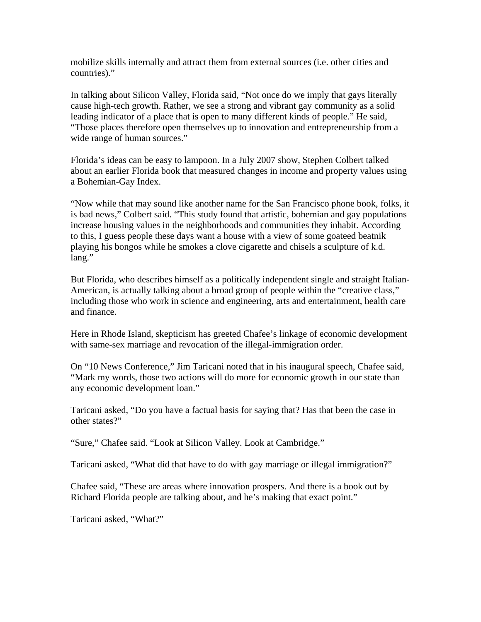mobilize skills internally and attract them from external sources (i.e. other cities and countries)."

In talking about Silicon Valley, Florida said, "Not once do we imply that gays literally cause high-tech growth. Rather, we see a strong and vibrant gay community as a solid leading indicator of a place that is open to many different kinds of people." He said, "Those places therefore open themselves up to innovation and entrepreneurship from a wide range of human sources."

Florida's ideas can be easy to lampoon. In a July 2007 show, Stephen Colbert talked about an earlier Florida book that measured changes in income and property values using a Bohemian-Gay Index.

"Now while that may sound like another name for the San Francisco phone book, folks, it is bad news," Colbert said. "This study found that artistic, bohemian and gay populations increase housing values in the neighborhoods and communities they inhabit. According to this, I guess people these days want a house with a view of some goateed beatnik playing his bongos while he smokes a clove cigarette and chisels a sculpture of k.d. lang."

But Florida, who describes himself as a politically independent single and straight Italian-American, is actually talking about a broad group of people within the "creative class," including those who work in science and engineering, arts and entertainment, health care and finance.

Here in Rhode Island, skepticism has greeted Chafee's linkage of economic development with same-sex marriage and revocation of the illegal-immigration order.

On "10 News Conference," Jim Taricani noted that in his inaugural speech, Chafee said, "Mark my words, those two actions will do more for economic growth in our state than any economic development loan."

Taricani asked, "Do you have a factual basis for saying that? Has that been the case in other states?"

"Sure," Chafee said. "Look at Silicon Valley. Look at Cambridge."

Taricani asked, "What did that have to do with gay marriage or illegal immigration?"

Chafee said, "These are areas where innovation prospers. And there is a book out by Richard Florida people are talking about, and he's making that exact point."

Taricani asked, "What?"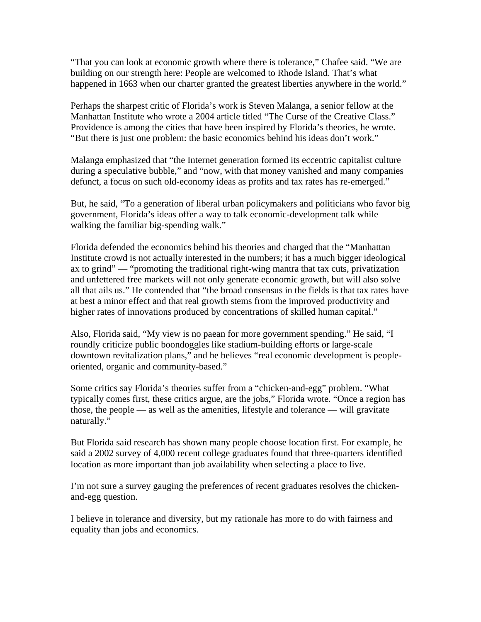"That you can look at economic growth where there is tolerance," Chafee said. "We are building on our strength here: People are welcomed to Rhode Island. That's what happened in 1663 when our charter granted the greatest liberties anywhere in the world."

Perhaps the sharpest critic of Florida's work is Steven Malanga, a senior fellow at the Manhattan Institute who wrote a 2004 article titled "The Curse of the Creative Class." Providence is among the cities that have been inspired by Florida's theories, he wrote. "But there is just one problem: the basic economics behind his ideas don't work."

Malanga emphasized that "the Internet generation formed its eccentric capitalist culture during a speculative bubble," and "now, with that money vanished and many companies defunct, a focus on such old-economy ideas as profits and tax rates has re-emerged."

But, he said, "To a generation of liberal urban policymakers and politicians who favor big government, Florida's ideas offer a way to talk economic-development talk while walking the familiar big-spending walk."

Florida defended the economics behind his theories and charged that the "Manhattan Institute crowd is not actually interested in the numbers; it has a much bigger ideological ax to grind" — "promoting the traditional right-wing mantra that tax cuts, privatization and unfettered free markets will not only generate economic growth, but will also solve all that ails us." He contended that "the broad consensus in the fields is that tax rates have at best a minor effect and that real growth stems from the improved productivity and higher rates of innovations produced by concentrations of skilled human capital."

Also, Florida said, "My view is no paean for more government spending." He said, "I roundly criticize public boondoggles like stadium-building efforts or large-scale downtown revitalization plans," and he believes "real economic development is peopleoriented, organic and community-based."

Some critics say Florida's theories suffer from a "chicken-and-egg" problem. "What typically comes first, these critics argue, are the jobs," Florida wrote. "Once a region has those, the people — as well as the amenities, lifestyle and tolerance — will gravitate naturally."

But Florida said research has shown many people choose location first. For example, he said a 2002 survey of 4,000 recent college graduates found that three-quarters identified location as more important than job availability when selecting a place to live.

I'm not sure a survey gauging the preferences of recent graduates resolves the chickenand-egg question.

I believe in tolerance and diversity, but my rationale has more to do with fairness and equality than jobs and economics.